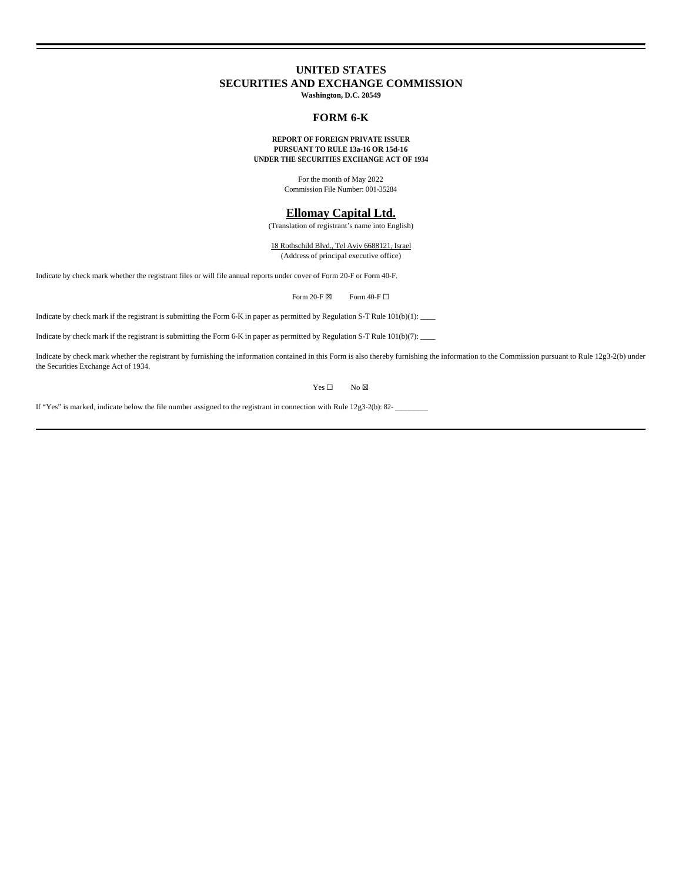# **UNITED STATES SECURITIES AND EXCHANGE COMMISSION**

**Washington, D.C. 20549**

## **FORM 6-K**

#### **REPORT OF FOREIGN PRIVATE ISSUER PURSUANT TO RULE 13a-16 OR 15d-16 UNDER THE SECURITIES EXCHANGE ACT OF 1934**

For the month of May 2022 Commission File Number: 001-35284

# **Ellomay Capital Ltd.**

(Translation of registrant's name into English)

### 18 Rothschild Blvd., Tel Aviv 6688121, Israel

(Address of principal executive office)

Indicate by check mark whether the registrant files or will file annual reports under cover of Form 20-F or Form 40-F.

Form 20-F  $\boxtimes$  Form 40-F  $\Box$ 

Indicate by check mark if the registrant is submitting the Form 6-K in paper as permitted by Regulation S-T Rule  $101(b)(1)$ :

Indicate by check mark if the registrant is submitting the Form 6-K in paper as permitted by Regulation S-T Rule 101(b)(7):

Indicate by check mark whether the registrant by furnishing the information contained in this Form is also thereby furnishing the information to the Commission pursuant to Rule 12g3-2(b) under the Securities Exchange Act of 1934.

 $Yes \Box$  No  $\boxtimes$ 

If "Yes" is marked, indicate below the file number assigned to the registrant in connection with Rule 12g3-2(b): 82-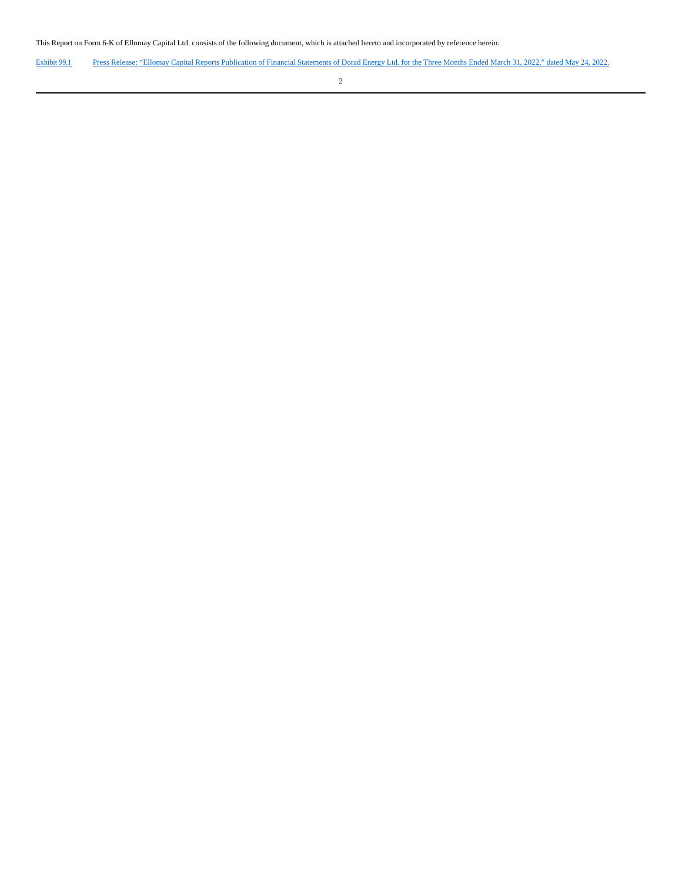This Report on Form 6-K of Ellomay Capital Ltd. consists of the following document, which is attached hereto and incorporated by reference herein:

Exhibit 99.1 Press Release: "Ellomay Capital Reports Publication of Financial Statements of Dorad Energy Ltd. for the Three Months Ended March 31, 2022," dated May 24, 2022.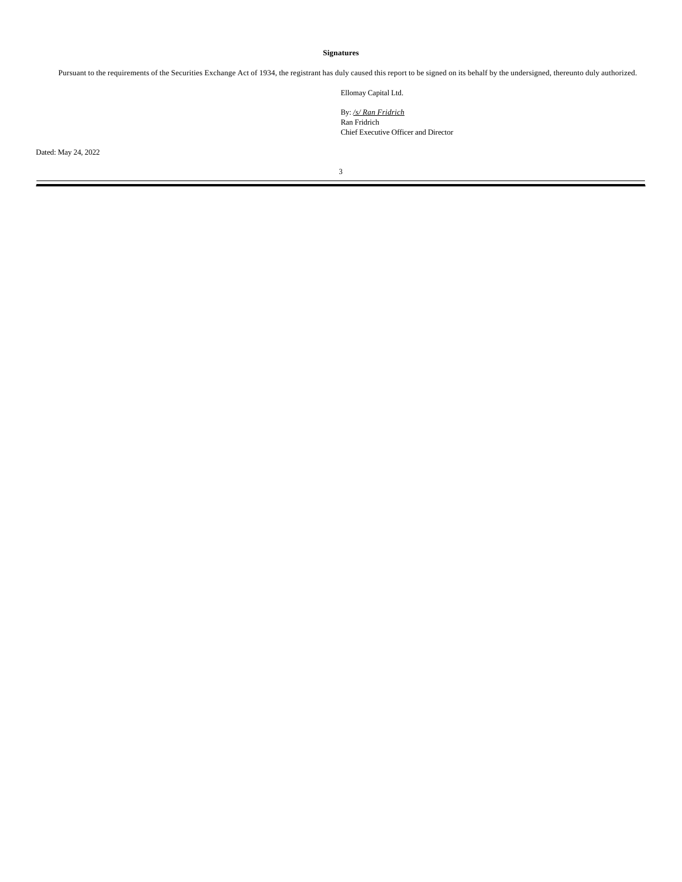### **Signatures**

Pursuant to the requirements of the Securities Exchange Act of 1934, the registrant has duly caused this report to be signed on its behalf by the undersigned, thereunto duly authorized.

Ellomay Capital Ltd.

By: */s/ Ran Fridrich* Ran Fridrich Chief Executive Officer and Director

Dated: May 24, 2022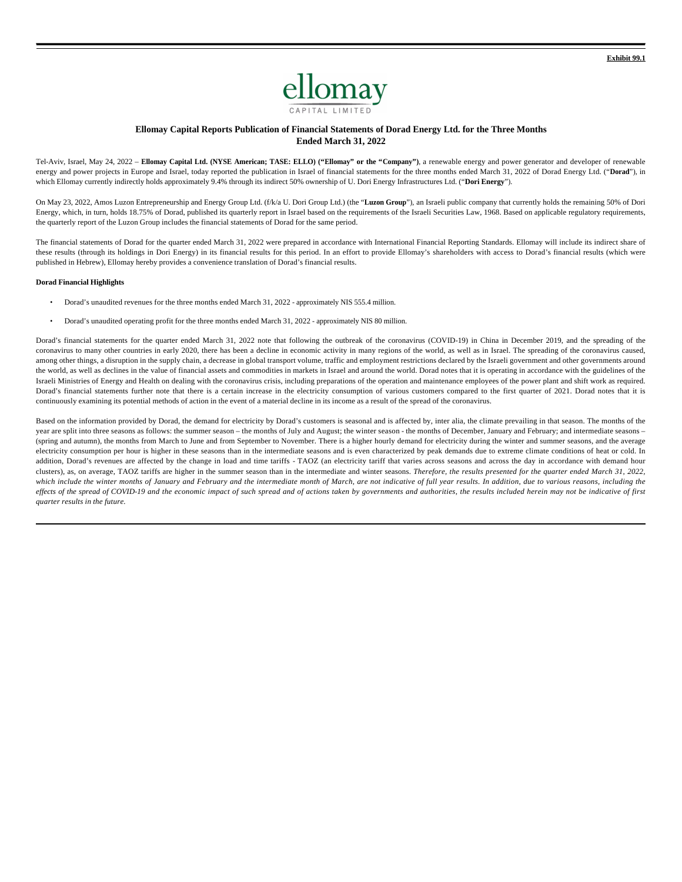

### **Ellomay Capital Reports Publication of Financial Statements of Dorad Energy Ltd. for the Three Months Ended March 31, 2022**

Tel-Aviv, Israel, May 24, 2022 – **Ellomay Capital Ltd. (NYSE American; TASE: ELLO) ("Ellomay" or the "Company")**, a renewable energy and power generator and developer of renewable energy and power projects in Europe and Israel, today reported the publication in Israel of financial statements for the three months ended March 31, 2022 of Dorad Energy Ltd. ("Dorad"), in which Ellomay currently indirectly holds approximately 9.4% through its indirect 50% ownership of U. Dori Energy Infrastructures Ltd. ("**Dori Energy**").

On May 23, 2022, Amos Luzon Entrepreneurship and Energy Group Ltd. (f/k/a U. Dori Group Ltd.) (the "**Luzon Group**"), an Israeli public company that currently holds the remaining 50% of Dori Energy, which, in turn, holds 18.75% of Dorad, published its quarterly report in Israel based on the requirements of the Israeli Securities Law, 1968. Based on applicable regulatory requirements, the quarterly report of the Luzon Group includes the financial statements of Dorad for the same period.

The financial statements of Dorad for the quarter ended March 31, 2022 were prepared in accordance with International Financial Reporting Standards. Ellomay will include its indirect share of these results (through its holdings in Dori Energy) in its financial results for this period. In an effort to provide Ellomay's shareholders with access to Dorad's financial results (which were published in Hebrew), Ellomay hereby provides a convenience translation of Dorad's financial results.

#### **Dorad Financial Highlights**

- Dorad's unaudited revenues for the three months ended March 31, 2022 approximately NIS 555.4 million.
- Dorad's unaudited operating profit for the three months ended March 31, 2022 approximately NIS 80 million.

Dorad's financial statements for the quarter ended March 31, 2022 note that following the outbreak of the coronavirus (COVID-19) in China in December 2019, and the spreading of the coronavirus to many other countries in early 2020, there has been a decline in economic activity in many regions of the world, as well as in Israel. The spreading of the coronavirus caused, among other things, a disruption in the supply chain, a decrease in global transport volume, traffic and employment restrictions declared by the Israeli government and other governments around the world, as well as declines in the value of financial assets and commodities in markets in Israel and around the world. Dorad notes that it is operating in accordance with the guidelines of the Israeli Ministries of Energy and Health on dealing with the coronavirus crisis, including preparations of the operation and maintenance employees of the power plant and shift work as required. Dorad's financial statements further note that there is a certain increase in the electricity consumption of various customers compared to the first quarter of 2021. Dorad notes that it is continuously examining its potential methods of action in the event of a material decline in its income as a result of the spread of the coronavirus.

Based on the information provided by Dorad, the demand for electricity by Dorad's customers is seasonal and is affected by, inter alia, the climate prevailing in that season. The months of the year are split into three seasons as follows: the summer season – the months of July and August; the winter season - the months of December, January and February; and intermediate seasons – (spring and autumn), the months from March to June and from September to November. There is a higher hourly demand for electricity during the winter and summer seasons, and the average electricity consumption per hour is higher in these seasons than in the intermediate seasons and is even characterized by peak demands due to extreme climate conditions of heat or cold. In addition, Dorad's revenues are affected by the change in load and time tariffs - TAOZ (an electricity tariff that varies across seasons and across the day in accordance with demand hour clusters), as, on average, TAOZ tariffs are higher in the summer season than in the intermediate and winter seasons. *Therefore, the results presented for the quarter ended March 31, 2022,*  which include the winter months of January and February and the intermediate month of March, are not indicative of full year results. In addition, due to various reasons, including the effects of the spread of COVID-19 and the economic impact of such spread and of actions taken by governments and authorities, the results included herein may not be indicative of first *quarter results in the future.*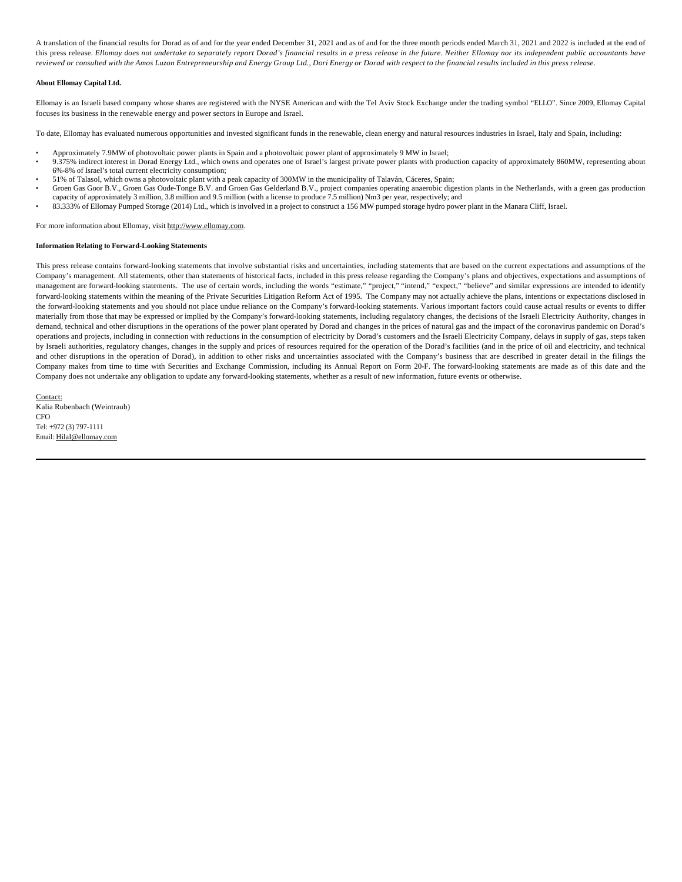A translation of the financial results for Dorad as of and for the year ended December 31, 2021 and as of and for the three month periods ended March 31, 2021 and 2022 is included at the end of this press release. *Ellomay does not undertake to separately report Dorad's financial results in a press release in the future. Neither Ellomay nor its independent public accountants have reviewed or consulted with the Amos Luzon Entrepreneurship and Energy Group Ltd., Dori Energy or Dorad with respect to the financial results included in this press release.*

#### **About Ellomay Capital Ltd.**

Ellomay is an Israeli based company whose shares are registered with the NYSE American and with the Tel Aviv Stock Exchange under the trading symbol "ELLO". Since 2009, Ellomay Capital focuses its business in the renewable energy and power sectors in Europe and Israel.

To date, Ellomay has evaluated numerous opportunities and invested significant funds in the renewable, clean energy and natural resources industries in Israel, Italy and Spain, including:

- Approximately 7.9MW of photovoltaic power plants in Spain and a photovoltaic power plant of approximately 9 MW in Israel;
- 9.375% indirect interest in Dorad Energy Ltd., which owns and operates one of Israel's largest private power plants with production capacity of approximately 860MW, representing about 6%-8% of Israel's total current electricity consumption;
- 51% of Talasol, which owns a photovoltaic plant with a peak capacity of 300MW in the municipality of Talaván, Cáceres, Spain;
- Groen Gas Goor B.V., Groen Gas Oude-Tonge B.V. and Groen Gas Gelderland B.V., project companies operating anaerobic digestion plants in the Netherlands, with a green gas production capacity of approximately 3 million, 3.8 million and 9.5 million (with a license to produce 7.5 million) Nm3 per year, respectively; and
- 83.333% of Ellomay Pumped Storage (2014) Ltd., which is involved in a project to construct a 156 MW pumped storage hydro power plant in the Manara Cliff, Israel.

For more information about Ellomay, visit http://www.ellomay.com.

#### **Information Relating to Forward-Looking Statements**

This press release contains forward-looking statements that involve substantial risks and uncertainties, including statements that are based on the current expectations and assumptions of the Company's management. All statements, other than statements of historical facts, included in this press release regarding the Company's plans and objectives, expectations and assumptions of management are forward-looking statements. The use of certain words, including the words "estimate," "project," "intend," "expect," "believe" and similar expressions are intended to identify forward-looking statements within the meaning of the Private Securities Litigation Reform Act of 1995. The Company may not actually achieve the plans, intentions or expectations disclosed in the forward-looking statements and you should not place undue reliance on the Company's forward-looking statements. Various important factors could cause actual results or events to differ materially from those that may be expressed or implied by the Company's forward-looking statements, including regulatory changes, the decisions of the Israeli Electricity Authority, changes in demand, technical and other disruptions in the operations of the power plant operated by Dorad and changes in the prices of natural gas and the impact of the coronavirus pandemic on Dorad's operations and projects, including in connection with reductions in the consumption of electricity by Dorad's customers and the Israeli Electricity Company, delays in supply of gas, steps taken by Israeli authorities, regulatory changes, changes in the supply and prices of resources required for the operation of the Dorad's facilities (and in the price of oil and electricity, and technical and other disruptions in the operation of Dorad), in addition to other risks and uncertainties associated with the Company's business that are described in greater detail in the filings the Company makes from time to time with Securities and Exchange Commission, including its Annual Report on Form 20-F. The forward-looking statements are made as of this date and the Company does not undertake any obligation to update any forward-looking statements, whether as a result of new information, future events or otherwise.

Contact: Kalia Rubenbach (Weintraub) CFO Tel: +972 (3) 797-1111 Email: HilaI@ellomay.com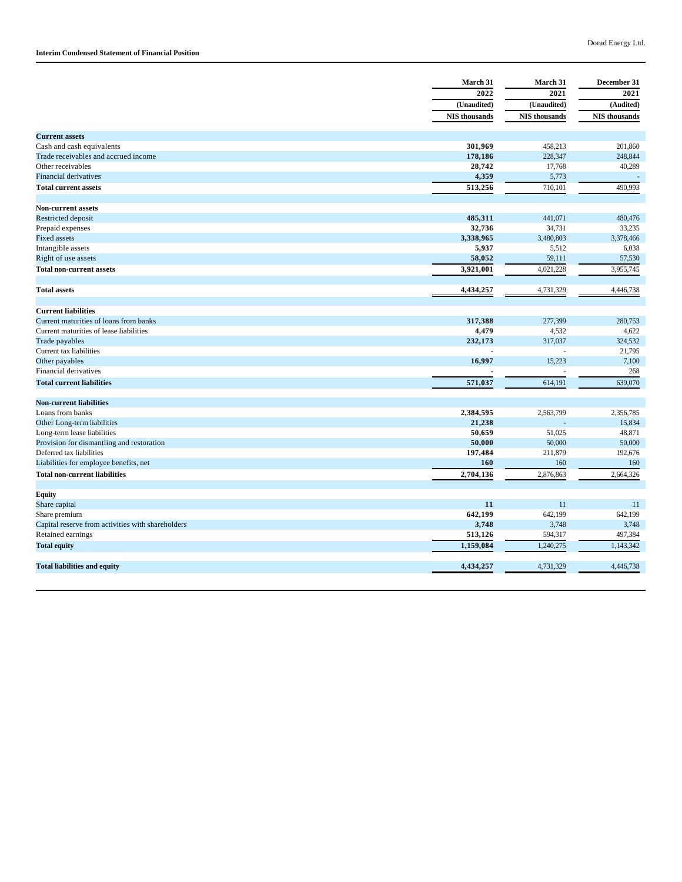### **Interim Condensed Statement of Financial Position**

|                                                   | March 31<br>2022<br>(Unaudited) | March 31<br>2021<br>(Unaudited) | December 31<br>2021<br>(Audited)<br>NIS thousands |
|---------------------------------------------------|---------------------------------|---------------------------------|---------------------------------------------------|
|                                                   |                                 |                                 |                                                   |
|                                                   | <b>NIS</b> thousands            | <b>NIS</b> thousands            |                                                   |
| <b>Current assets</b>                             |                                 |                                 |                                                   |
| Cash and cash equivalents                         | 301,969                         | 458,213                         | 201,860                                           |
| Trade receivables and accrued income              | 178,186                         | 228,347                         | 248,844                                           |
| Other receivables                                 | 28,742                          | 17,768                          | 40,289                                            |
| <b>Financial derivatives</b>                      | 4,359                           | 5,773                           |                                                   |
| <b>Total current assets</b>                       | 513,256                         | 710,101                         | 490,993                                           |
|                                                   |                                 |                                 |                                                   |
| Non-current assets                                |                                 |                                 |                                                   |
| Restricted deposit                                | 485,311                         | 441,071                         | 480,476                                           |
| Prepaid expenses                                  | 32,736                          | 34,731                          | 33,235                                            |
| <b>Fixed assets</b>                               | 3,338,965                       | 3,480,803                       | 3,378,466                                         |
| Intangible assets                                 | 5,937                           | 5,512                           | 6,038                                             |
| Right of use assets                               | 58,052                          | 59,111                          | 57,530                                            |
| <b>Total non-current assets</b>                   | 3,921,001                       | 4,021,228                       | 3,955,745                                         |
|                                                   |                                 |                                 |                                                   |
| <b>Total assets</b>                               | 4,434,257                       | 4,731,329                       | 4,446,738                                         |
|                                                   |                                 |                                 |                                                   |
| <b>Current liabilities</b>                        |                                 |                                 |                                                   |
| Current maturities of loans from banks            | 317,388                         | 277,399                         | 280,753                                           |
| Current maturities of lease liabilities           | 4,479                           | 4,532                           | 4,622                                             |
| Trade payables                                    | 232,173                         | 317,037                         | 324,532                                           |
| Current tax liabilities                           |                                 |                                 | 21,795                                            |
| Other payables                                    | 16,997                          | 15,223                          | 7,100                                             |
| Financial derivatives                             |                                 |                                 | 268                                               |
| <b>Total current liabilities</b>                  | 571,037                         | 614,191                         | 639,070                                           |
|                                                   |                                 |                                 |                                                   |
| <b>Non-current liabilities</b>                    |                                 |                                 |                                                   |
| Loans from banks                                  | 2,384,595                       | 2,563,799                       | 2,356,785                                         |
| Other Long-term liabilities                       | 21,238                          |                                 | 15,834                                            |
| Long-term lease liabilities                       | 50,659                          | 51,025                          | 48,871                                            |
| Provision for dismantling and restoration         | 50,000                          | 50,000                          | 50,000                                            |
| Deferred tax liabilities                          | 197,484                         | 211,879                         | 192,676                                           |
| Liabilities for employee benefits, net            | 160                             | 160                             | 160                                               |
| <b>Total non-current liabilities</b>              | 2,704,136                       | 2,876,863                       | 2,664,326                                         |
|                                                   |                                 |                                 |                                                   |
| <b>Equity</b>                                     |                                 |                                 |                                                   |
| Share capital                                     | 11                              | 11                              | 11                                                |
| Share premium                                     | 642,199                         | 642,199                         | 642,199                                           |
| Capital reserve from activities with shareholders | 3,748                           | 3,748                           | 3,748                                             |
| Retained earnings                                 | 513,126                         | 594,317                         | 497,384                                           |
| <b>Total equity</b>                               | 1,159,084                       | 1,240,275                       | 1,143,342                                         |
|                                                   | 4,434,257                       | 4,731,329                       | 4,446,738                                         |
| <b>Total liabilities and equity</b>               |                                 |                                 |                                                   |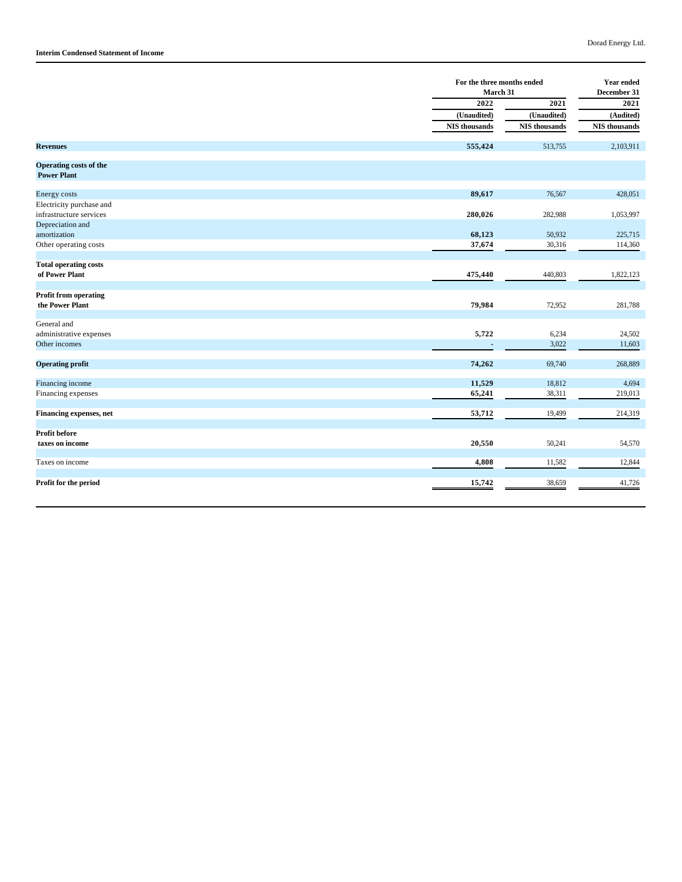|                                                     |                      | For the three months ended<br>March 31 |                                    |
|-----------------------------------------------------|----------------------|----------------------------------------|------------------------------------|
|                                                     | 2022                 | 2021<br>(Unaudited)                    | 2021<br>(Audited)<br>NIS thousands |
|                                                     | (Unaudited)          |                                        |                                    |
|                                                     | <b>NIS</b> thousands | NIS thousands                          |                                    |
| <b>Revenues</b>                                     | 555,424              | 513,755                                | 2,103,911                          |
| <b>Operating costs of the</b><br><b>Power Plant</b> |                      |                                        |                                    |
| <b>Energy costs</b>                                 | 89,617               | 76,567                                 | 428,051                            |
| Electricity purchase and                            |                      |                                        |                                    |
| infrastructure services                             | 280,026              | 282,988                                | 1,053,997                          |
| Depreciation and                                    |                      |                                        |                                    |
| amortization                                        | 68,123               | 50,932                                 | 225,715                            |
| Other operating costs                               | 37,674               | 30,316                                 | 114,360                            |
| <b>Total operating costs</b>                        |                      |                                        |                                    |
| of Power Plant                                      | 475,440              | 440,803                                | 1,822,123                          |
|                                                     |                      |                                        |                                    |
| <b>Profit from operating</b><br>the Power Plant     | 79,984               | 72,952                                 | 281,788                            |
| General and                                         |                      |                                        |                                    |
| administrative expenses                             | 5,722                | 6,234                                  | 24,502                             |
| Other incomes                                       |                      | 3,022                                  | 11,603                             |
|                                                     |                      |                                        |                                    |
| <b>Operating profit</b>                             | 74,262               | 69,740                                 | 268,889                            |
| Financing income                                    | 11,529               | 18,812                                 | 4,694                              |
| Financing expenses                                  | 65,241               | 38,311                                 | 219,013                            |
|                                                     |                      |                                        |                                    |
| <b>Financing expenses, net</b>                      | 53,712               | 19,499                                 | 214,319                            |
| <b>Profit before</b>                                |                      |                                        |                                    |
| taxes on income                                     | 20,550               | 50,241                                 | 54,570                             |
|                                                     |                      |                                        |                                    |
| Taxes on income                                     | 4,808                | 11,582                                 | 12,844                             |
|                                                     |                      |                                        |                                    |
| Profit for the period                               | 15,742               | 38,659                                 | 41,726                             |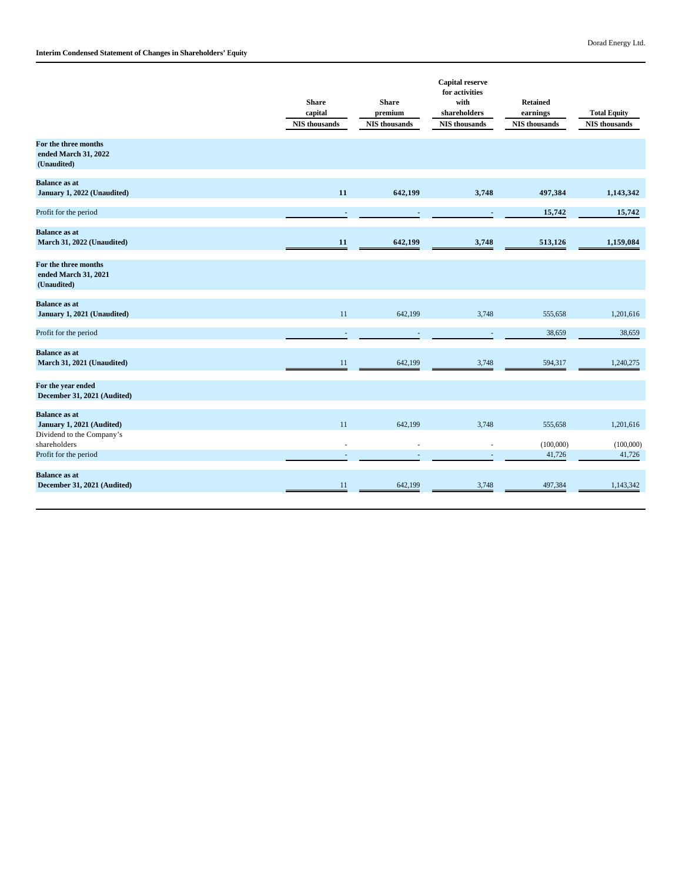|                                                                                                                         | <b>Share</b><br>capital<br>NIS thousands | <b>Share</b><br>premium<br><b>NIS</b> thousands | <b>Capital reserve</b><br>for activities<br>with<br>shareholders<br>NIS thousands | <b>Retained</b><br>earnings<br><b>NIS</b> thousands | <b>Total Equity</b><br><b>NIS</b> thousands |
|-------------------------------------------------------------------------------------------------------------------------|------------------------------------------|-------------------------------------------------|-----------------------------------------------------------------------------------|-----------------------------------------------------|---------------------------------------------|
| For the three months<br>ended March 31, 2022<br>(Unaudited)                                                             |                                          |                                                 |                                                                                   |                                                     |                                             |
| <b>Balance</b> as at<br>January 1, 2022 (Unaudited)                                                                     | 11                                       | 642,199                                         | 3,748                                                                             | 497,384                                             | 1,143,342                                   |
| Profit for the period                                                                                                   | ٠                                        | ×,                                              | $\blacksquare$                                                                    | 15,742                                              | 15,742                                      |
| <b>Balance as at</b><br>March 31, 2022 (Unaudited)                                                                      | 11                                       | 642,199                                         | 3,748                                                                             | 513,126                                             | 1,159,084                                   |
| For the three months<br>ended March 31, 2021<br>(Unaudited)                                                             |                                          |                                                 |                                                                                   |                                                     |                                             |
| <b>Balance as at</b><br>January 1, 2021 (Unaudited)                                                                     | 11                                       | 642,199                                         | 3,748                                                                             | 555,658                                             | 1,201,616                                   |
| Profit for the period                                                                                                   |                                          |                                                 |                                                                                   | 38,659                                              | 38,659                                      |
| <b>Balance as at</b><br>March 31, 2021 (Unaudited)                                                                      | 11                                       | 642,199                                         | 3,748                                                                             | 594,317                                             | 1,240,275                                   |
| For the year ended<br>December 31, 2021 (Audited)                                                                       |                                          |                                                 |                                                                                   |                                                     |                                             |
| <b>Balance</b> as at<br>January 1, 2021 (Audited)<br>Dividend to the Company's<br>shareholders<br>Profit for the period | 11                                       | 642,199<br>÷,                                   | 3,748                                                                             | 555,658<br>(100,000)<br>41,726                      | 1,201,616<br>(100,000)<br>41,726            |
| <b>Balance as at</b><br>December 31, 2021 (Audited)                                                                     | 11                                       | 642,199                                         | 3,748                                                                             | 497,384                                             | 1,143,342                                   |